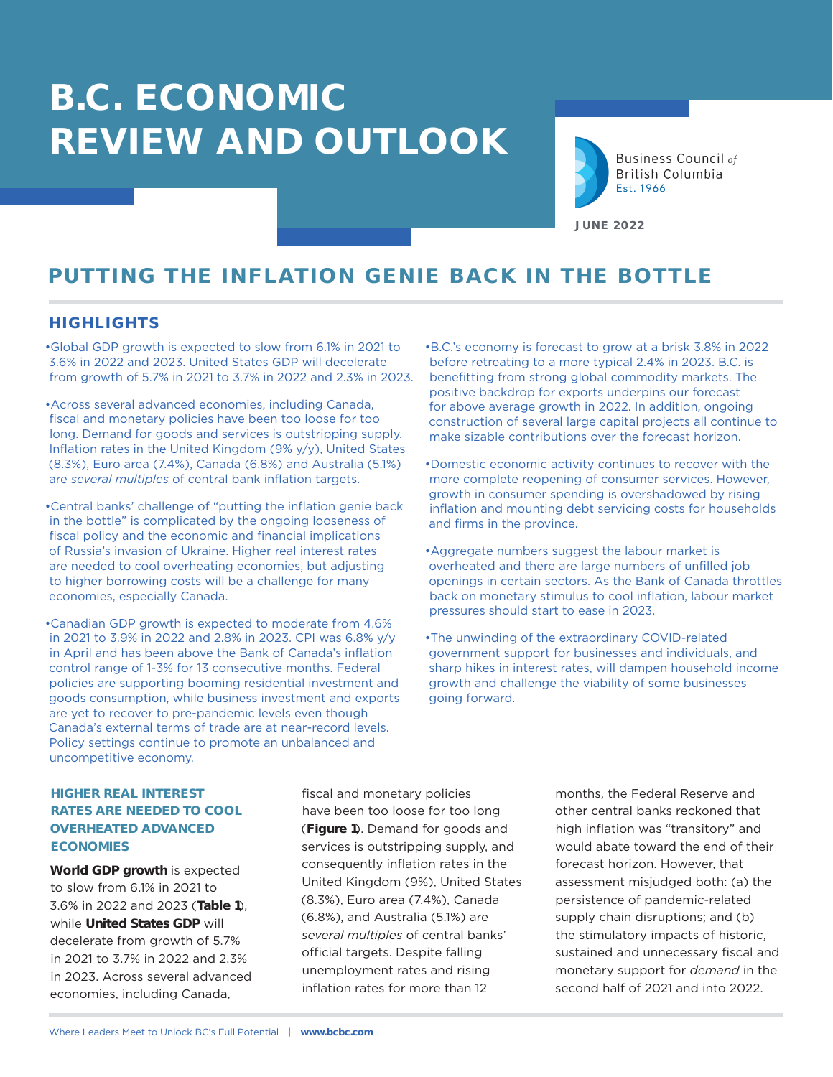

**Business Council of British Columbia** Est. 1966

**JUNE 2022**

# **PUTTING THE INFLATION GENIE BACK IN THE BOTTLE**

## **HIGHLIGHTS**

•Global GDP growth is expected to slow from 6.1% in 2021 to 3.6% in 2022 and 2023. United States GDP will decelerate from growth of 5.7% in 2021 to 3.7% in 2022 and 2.3% in 2023.

•Across several advanced economies, including Canada, fiscal and monetary policies have been too loose for too long. Demand for goods and services is outstripping supply. Inflation rates in the United Kingdom (9% y/y), United States (8.3%), Euro area (7.4%), Canada (6.8%) and Australia (5.1%) are *several multiples* of central bank inflation targets.

•Central banks' challenge of "putting the inflation genie back in the bottle" is complicated by the ongoing looseness of fiscal policy and the economic and financial implications of Russia's invasion of Ukraine. Higher real interest rates are needed to cool overheating economies, but adjusting to higher borrowing costs will be a challenge for many economies, especially Canada.

•Canadian GDP growth is expected to moderate from 4.6% in 2021 to 3.9% in 2022 and 2.8% in 2023. CPI was 6.8% y/y in April and has been above the Bank of Canada's inflation control range of 1-3% for 13 consecutive months. Federal policies are supporting booming residential investment and goods consumption, while business investment and exports are yet to recover to pre-pandemic levels even though Canada's external terms of trade are at near-record levels. Policy settings continue to promote an unbalanced and uncompetitive economy.

•B.C.'s economy is forecast to grow at a brisk 3.8% in 2022 before retreating to a more typical 2.4% in 2023. B.C. is benefitting from strong global commodity markets. The positive backdrop for exports underpins our forecast for above average growth in 2022. In addition, ongoing construction of several large capital projects all continue to make sizable contributions over the forecast horizon.

- •Domestic economic activity continues to recover with the more complete reopening of consumer services. However, growth in consumer spending is overshadowed by rising inflation and mounting debt servicing costs for households and firms in the province.
- •Aggregate numbers suggest the labour market is overheated and there are large numbers of unfilled job openings in certain sectors. As the Bank of Canada throttles back on monetary stimulus to cool inflation, labour market pressures should start to ease in 2023.
- •The unwinding of the extraordinary COVID-related government support for businesses and individuals, and sharp hikes in interest rates, will dampen household income growth and challenge the viability of some businesses going forward.

## **HIGHER REAL INTEREST RATES ARE NEEDED TO COOL OVERHEATED ADVANCED ECONOMIES**

**World GDP growth** is expected to slow from 6.1% in 2021 to 3.6% in 2022 and 2023 (**Table 1**), while **United States GDP** will decelerate from growth of 5.7% in 2021 to 3.7% in 2022 and 2.3% in 2023. Across several advanced economies, including Canada,

fiscal and monetary policies have been too loose for too long (**Figure 1**). Demand for goods and services is outstripping supply, and consequently inflation rates in the United Kingdom (9%), United States (8.3%), Euro area (7.4%), Canada (6.8%), and Australia (5.1%) are *several multiples* of central banks' official targets. Despite falling unemployment rates and rising inflation rates for more than 12

months, the Federal Reserve and other central banks reckoned that high inflation was "transitory" and would abate toward the end of their forecast horizon. However, that assessment misjudged both: (a) the persistence of pandemic-related supply chain disruptions; and (b) the stimulatory impacts of historic, sustained and unnecessary fiscal and monetary support for *demand* in the second half of 2021 and into 2022.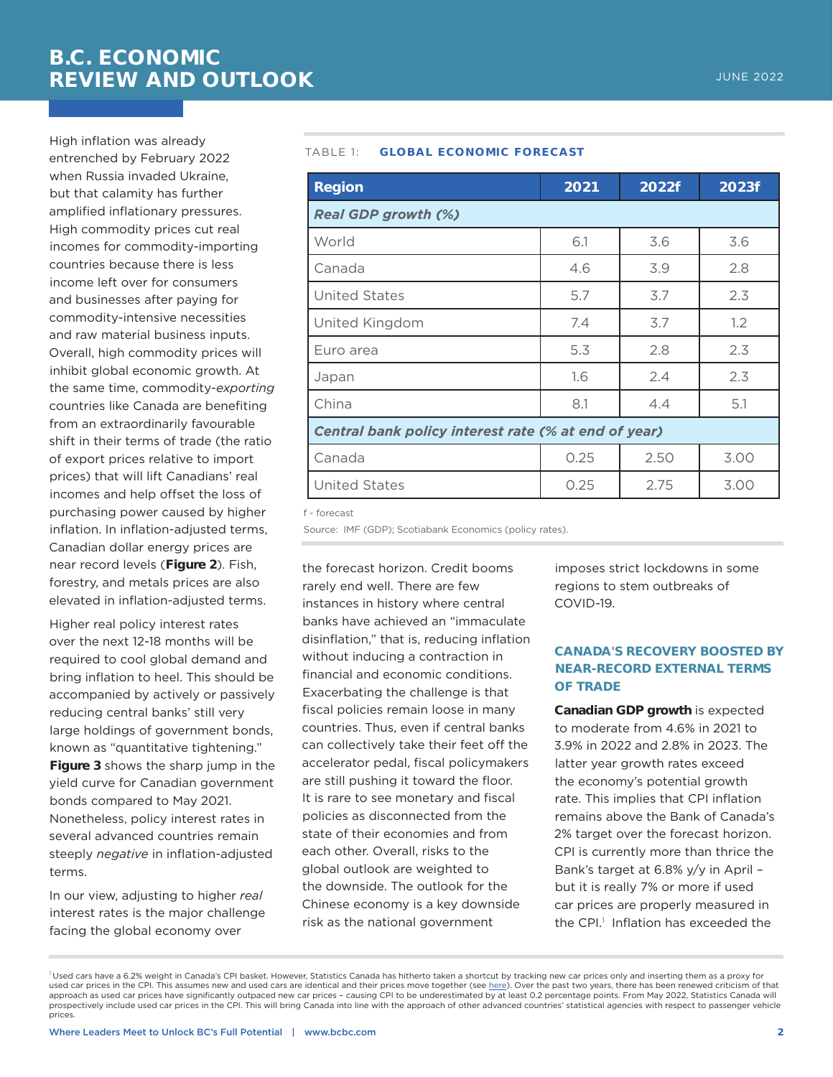High inflation was already entrenched by February 2022 when Russia invaded Ukraine, but that calamity has further amplified inflationary pressures. High commodity prices cut real incomes for commodity-importing countries because there is less income left over for consumers and businesses after paying for commodity-intensive necessities and raw material business inputs. Overall, high commodity prices will inhibit global economic growth. At the same time, commodity-*exporting* countries like Canada are benefiting from an extraordinarily favourable shift in their terms of trade (the ratio of export prices relative to import prices) that will lift Canadians' real incomes and help offset the loss of purchasing power caused by higher inflation. In inflation-adjusted terms, Canadian dollar energy prices are near record levels (**Figure 2**). Fish, forestry, and metals prices are also elevated in inflation-adjusted terms.

Higher real policy interest rates over the next 12-18 months will be required to cool global demand and bring inflation to heel. This should be accompanied by actively or passively reducing central banks' still very large holdings of government bonds, known as "quantitative tightening." **Figure 3** shows the sharp jump in the yield curve for Canadian government bonds compared to May 2021. Nonetheless, policy interest rates in several advanced countries remain steeply *negative* in inflation-adjusted terms.

In our view, adjusting to higher *real* interest rates is the major challenge facing the global economy over

#### TABLE 1: **GLOBAL ECONOMIC FORECAST**

| <b>Region</b>                                        | 2021 | 2022f | 2023f |  |  |  |
|------------------------------------------------------|------|-------|-------|--|--|--|
| <b>Real GDP growth (%)</b>                           |      |       |       |  |  |  |
| World                                                | 6.1  | 3.6   | 3.6   |  |  |  |
| Canada                                               | 4.6  | 3.9   | 2.8   |  |  |  |
| <b>United States</b>                                 | 5.7  | 3.7   | 2.3   |  |  |  |
| United Kingdom                                       | 7.4  | 3.7   | 1.2   |  |  |  |
| Euro area                                            | 5.3  | 2.8   | 2.3   |  |  |  |
| Japan                                                | 1.6  | 2.4   | 2.3   |  |  |  |
| China                                                | 8.1  | 4.4   | 5.1   |  |  |  |
| Central bank policy interest rate (% at end of year) |      |       |       |  |  |  |
| Canada                                               | 0.25 | 2.50  | 3.00  |  |  |  |
| <b>United States</b>                                 | 0.25 | 2.75  | 3.00  |  |  |  |

f - forecast

Source: IMF (GDP): Scotiabank Economics (policy rates).

the forecast horizon. Credit booms rarely end well. There are few instances in history where central banks have achieved an "immaculate disinflation," that is, reducing inflation without inducing a contraction in financial and economic conditions. Exacerbating the challenge is that fiscal policies remain loose in many countries. Thus, even if central banks can collectively take their feet off the accelerator pedal, fiscal policymakers are still pushing it toward the floor. It is rare to see monetary and fiscal policies as disconnected from the state of their economies and from each other. Overall, risks to the global outlook are weighted to the downside. The outlook for the Chinese economy is a key downside risk as the national government

imposes strict lockdowns in some regions to stem outbreaks of COVID-19.

## **CANADA'S RECOVERY BOOSTED BY NEAR-RECORD EXTERNAL TERMS OF TRADE**

**Canadian GDP growth** is expected to moderate from 4.6% in 2021 to 3.9% in 2022 and 2.8% in 2023. The latter year growth rates exceed the economy's potential growth rate. This implies that CPI inflation remains above the Bank of Canada's 2% target over the forecast horizon. CPI is currently more than thrice the Bank's target at 6.8% y/y in April – but it is really 7% or more if used car prices are properly measured in the CPI.<sup>1</sup> Inflation has exceeded the

 $^{\rm l}$ Used cars have a 6.2% weight in Canada's CPI basket. However, Statistics Canada has hitherto taken a shortcut by tracking new car prices only and inserting them as a proxy fo used car prices in the CPI. This assumes new and used cars are identical and their prices move together (see <u>here</u>). Over the past two years, there has been renewed criticism of that<br>approach as used car prices have signi prospectively include used car prices in the CPI. This will bring Canada into line with the approach of other advanced countries' statistical agencies with respect to passenger vehicle prices.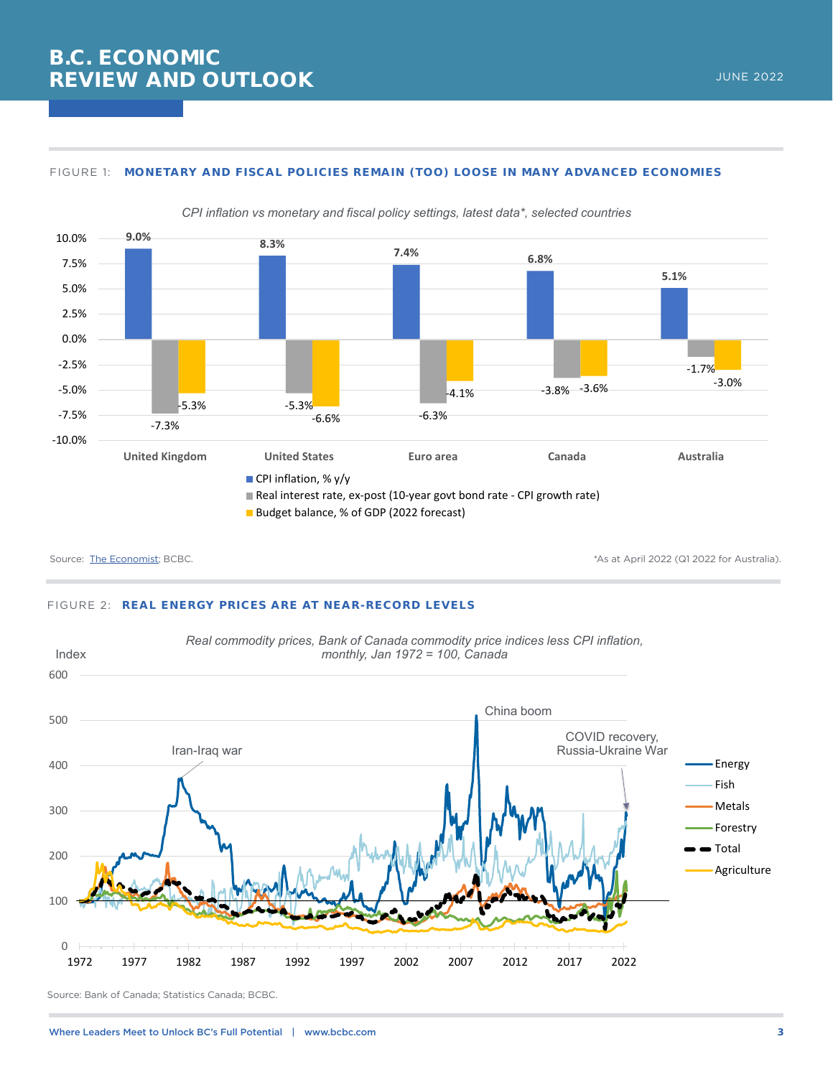#### FIGURE 1: **MONETARY AND FISCAL POLICIES REMAIN (TOO) LOOSE IN MANY ADVANCED ECONOMIES**



*CPI inflation vs monetary and fiscal policy settings, latest data\*, selected countries*

Source: [The Economist](https://www.economist.com/economic-and-financial-indicators/2022/05/19/economic-data-commodities-and-markets); BCBC. The Economist; BCBC. The Source: The Economist; BCBC. The Source: The Economist; BCBC.

#### FIGURE 2: **REAL ENERGY PRICES ARE AT NEAR-RECORD LEVELS**



Source: Bank of Canada; Statistics Canada; BCBC.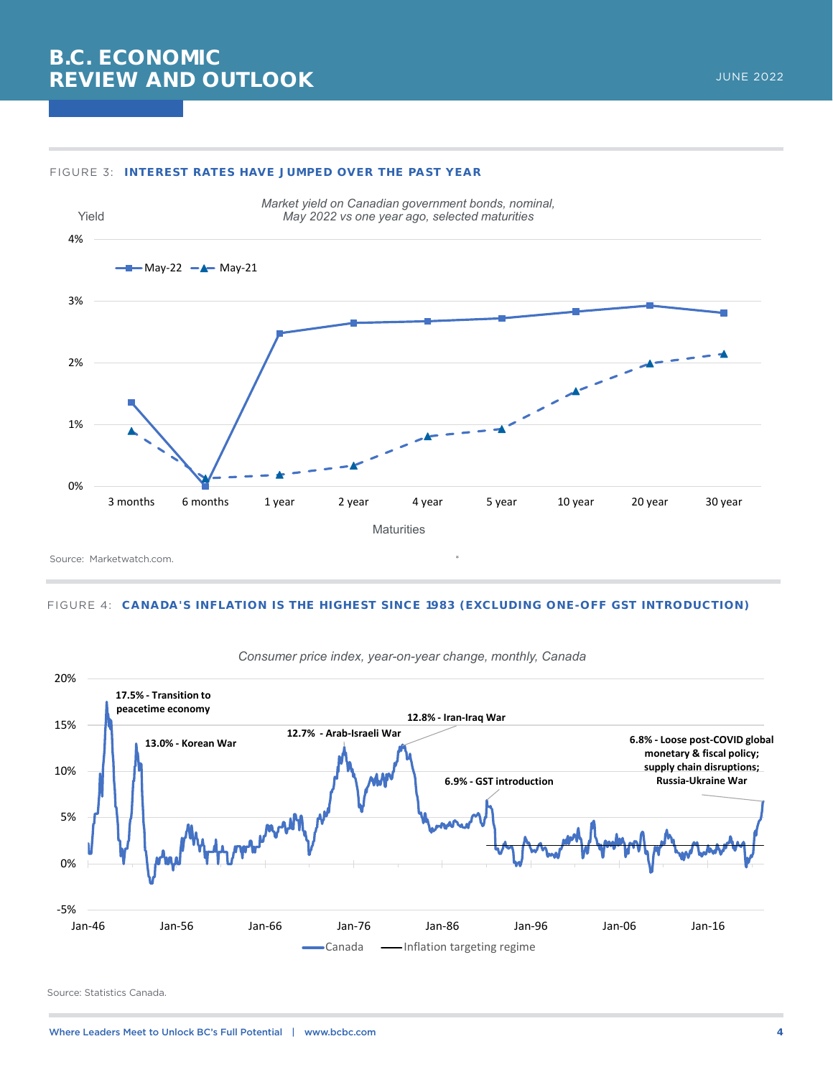#### FIGURE 3: **INTEREST RATES HAVE JUMPED OVER THE PAST YEAR**



Source: Marketwatch.com.

#### FIGURE 4: **CANADA'S INFLATION IS THE HIGHEST SINCE 1983 (EXCLUDING ONE-OFF GST INTRODUCTION)**



*Consumer price index, year-on-year change, monthly, Canada*

Source: Statistics Canada.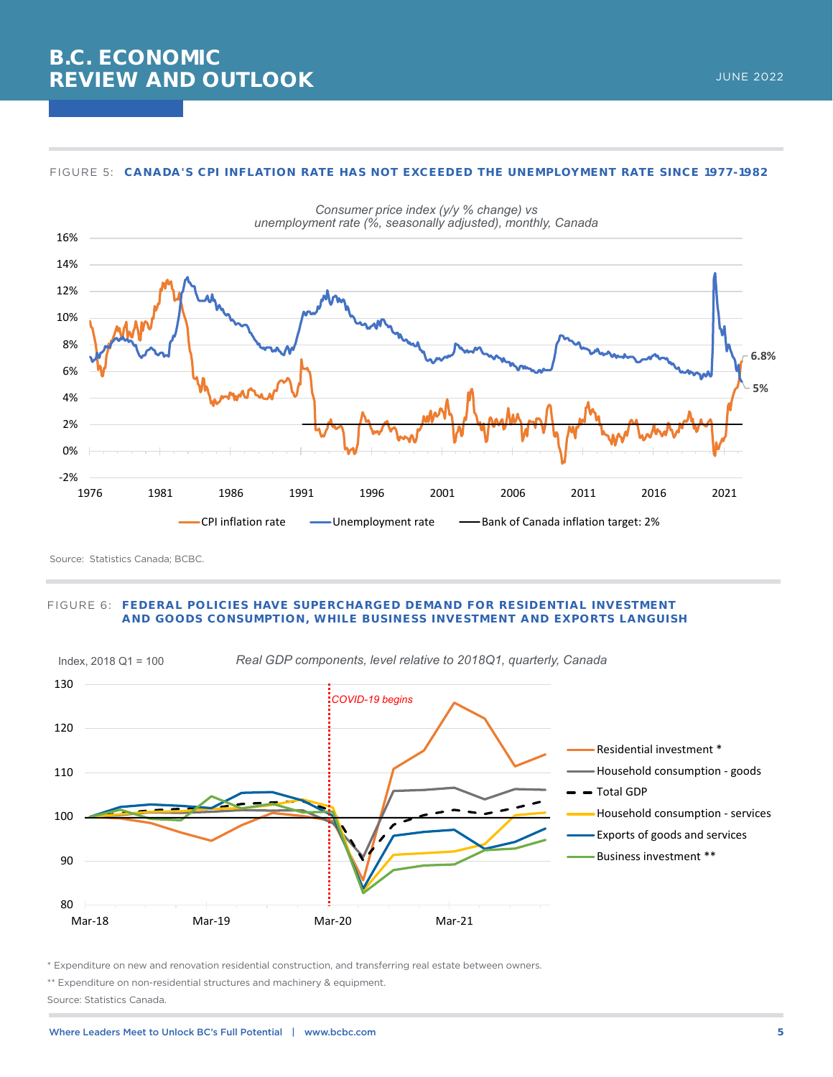

#### FIGURE 5: **CANADA'S CPI INFLATION RATE HAS NOT EXCEEDED THE UNEMPLOYMENT RATE SINCE 1977-1982**

Source: Statistics Canada; BCBC.

#### FIGURE 6: **FEDERAL POLICIES HAVE SUPERCHARGED DEMAND FOR RESIDENTIAL INVESTMENT AND GOODS CONSUMPTION, WHILE BUSINESS INVESTMENT AND EXPORTS LANGUISH**



\* Expenditure on new and renovation residential construction, and transferring real estate between owners.

\*\* Expenditure on non-residential structures and machinery & equipment. Source: Statistics Canada.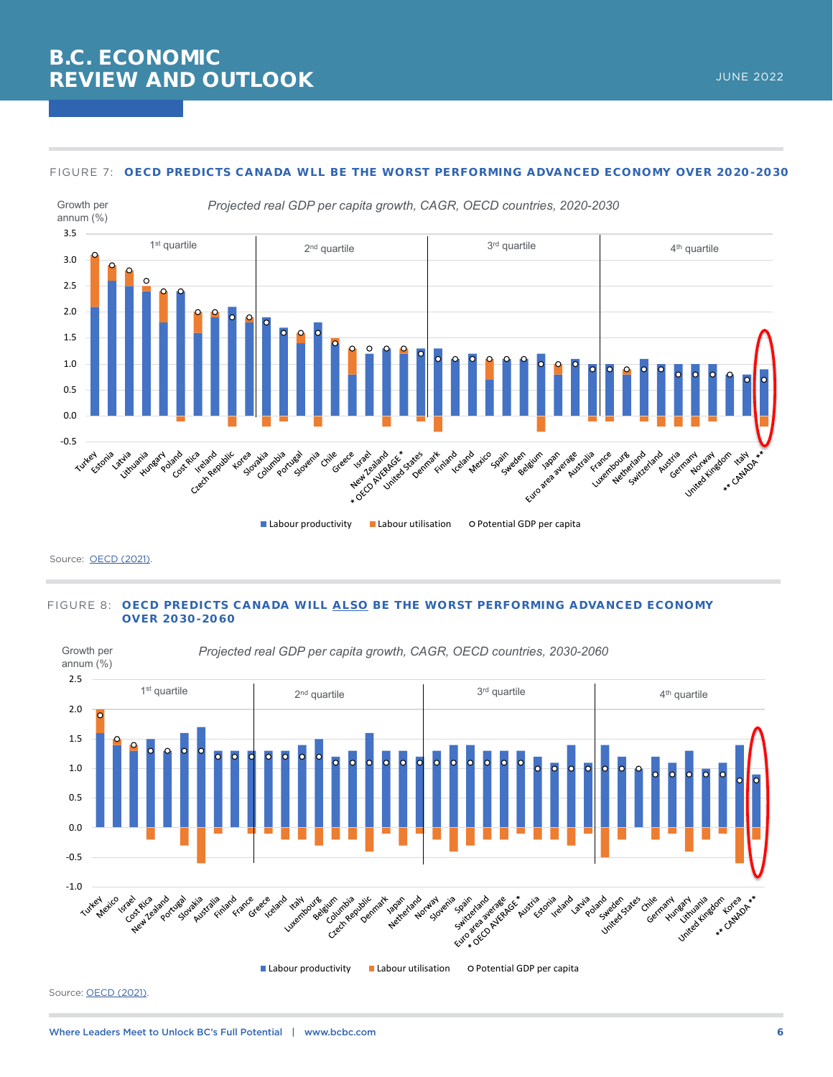

#### FIGURE 7: **OECD PREDICTS CANADA WLL BE THE WORST PERFORMING ADVANCED ECONOMY OVER 2020-2030**

Source: [OECD \(2021\)](https://www.oecd.org/economy/growth/scenarios-for-the-world-economy-to-2060.htm).

#### FIGURE 8: **OECD PREDICTS CANADA WILL ALSO BE THE WORST PERFORMING ADVANCED ECONOMY OVER 2030-2060**

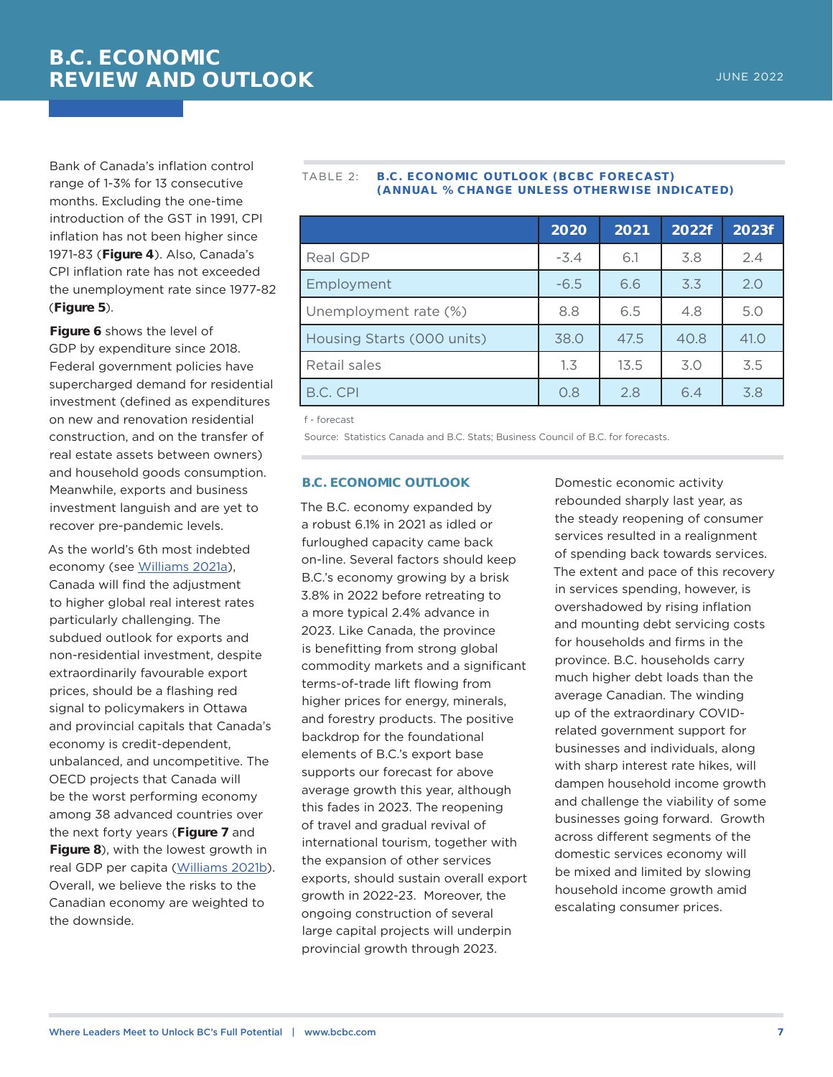Bank of Canada's inflation control range of 1-3% for 13 consecutive months. Excluding the one-time introduction of the GST in 1991, CPI inflation has not been higher since 1971-83 (**Figure 4**). Also, Canada's CPI inflation rate has not exceeded the unemployment rate since 1977-82 (**Figure 5**).

**Figure 6** shows the level of GDP by expenditure since 2018. Federal government policies have supercharged demand for residential investment (defined as expenditures on new and renovation residential construction, and on the transfer of real estate assets between owners) and household goods consumption. Meanwhile, exports and business investment languish and are yet to recover pre-pandemic levels.

As the world's 6th most indebted economy (see [Williams 2021a](https://bcbc.com/reports-and-research/canadas-unexploded-debt-bomb-continues-to-tick)), Canada will find the adjustment to higher global real interest rates particularly challenging. The subdued outlook for exports and non-residential investment, despite extraordinarily favourable export prices, should be a flashing red signal to policymakers in Ottawa and provincial capitals that Canada's economy is credit-dependent, unbalanced, and uncompetitive. The OECD projects that Canada will be the worst performing economy among 38 advanced countries over the next forty years (**Figure 7** and **Figure 8**), with the lowest growth in real GDP per capita ([Williams 2021b](https://bcbc.com/insights-and-opinions/oecd-predicts-canada-will-be-the-worst-performing-advanced-economy-over-the-next-decade-and-the-three-decades-after-that)). Overall, we believe the risks to the Canadian economy are weighted to the downside.

#### TABLE 2: **B.C. ECONOMIC OUTLOOK (BCBC FORECAST) (ANNUAL % CHANGE UNLESS OTHERWISE INDICATED)**

|                            | 2020   | 2021 | 2022f | 2023f |
|----------------------------|--------|------|-------|-------|
| Real GDP                   | $-3.4$ | 6.1  | 3.8   | 2.4   |
| Employment                 | $-6.5$ | 6.6  | 3.3   | 2.0   |
| Unemployment rate (%)      | 8.8    | 6.5  | 4.8   | 5.0   |
| Housing Starts (000 units) | 38.0   | 47.5 | 40.8  | 41.0  |
| Retail sales               | 1.3    | 13.5 | 3.0   | 3.5   |
| B.C. CPI                   | 0.8    | 2.8  | 6.4   | 3.8   |

f - forecast

Source: Statistics Canada and B.C. Stats; Business Council of B.C. for forecasts.

#### **B.C. ECONOMIC OUTLOOK**

The B.C. economy expanded by a robust 6.1% in 2021 as idled or furloughed capacity came back on-line. Several factors should keep B.C.'s economy growing by a brisk 3.8% in 2022 before retreating to a more typical 2.4% advance in 2023. Like Canada, the province is benefitting from strong global commodity markets and a significant terms-of-trade lift flowing from higher prices for energy, minerals, and forestry products. The positive backdrop for the foundational elements of B.C.'s export base supports our forecast for above average growth this year, although this fades in 2023. The reopening of travel and gradual revival of international tourism, together with the expansion of other services exports, should sustain overall export growth in 2022-23. Moreover, the ongoing construction of several large capital projects will underpin provincial growth through 2023.

Domestic economic activity rebounded sharply last year, as the steady reopening of consumer services resulted in a realignment of spending back towards services. The extent and pace of this recovery in services spending, however, is overshadowed by rising inflation and mounting debt servicing costs for households and firms in the province. B.C. households carry much higher debt loads than the average Canadian. The winding up of the extraordinary COVIDrelated government support for businesses and individuals, along with sharp interest rate hikes, will dampen household income growth and challenge the viability of some businesses going forward. Growth across different segments of the domestic services economy will be mixed and limited by slowing household income growth amid escalating consumer prices.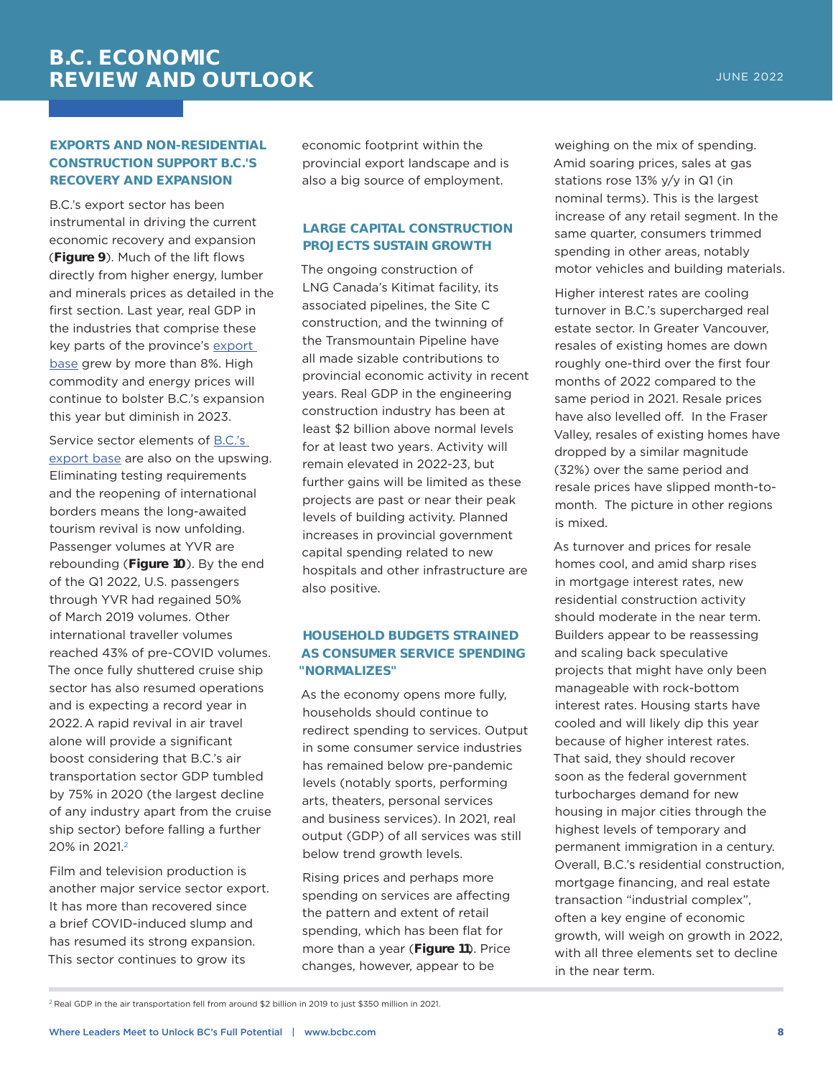## **EXPORTS AND NON-RESIDENTIAL CONSTRUCTION SUPPORT B.C.'S RECOVERY AND EXPANSION**

B.C.'s export sector has been instrumental in driving the current economic recovery and expansion (**Figure 9**). Much of the lift flows directly from higher energy, lumber and minerals prices as detailed in the first section. Last year, real GDP in the industries that comprise these key parts of the province's export [base](https://bcbc.com/insights-and-opinions/a-brief-primer-on-b-c-s-export-base) grew by more than 8%. High commodity and energy prices will continue to bolster B.C.'s expansion this year but diminish in 2023.

Service sector elements of [B.C.'s](https://bcbc.com/insights-and-opinions/opinion-goods-versus-services-analyzing-b-c-s-new-export-equation)  [export base](https://bcbc.com/insights-and-opinions/opinion-goods-versus-services-analyzing-b-c-s-new-export-equation) are also on the upswing. Eliminating testing requirements and the reopening of international borders means the long-awaited tourism revival is now unfolding. Passenger volumes at YVR are rebounding (**Figure 10**). By the end of the Q1 2022, U.S. passengers through YVR had regained 50% of March 2019 volumes. Other international traveller volumes reached 43% of pre-COVID volumes. The once fully shuttered cruise ship sector has also resumed operations and is expecting a record year in 2022. A rapid revival in air travel alone will provide a significant boost considering that B.C.'s air transportation sector GDP tumbled by 75% in 2020 (the largest decline of any industry apart from the cruise ship sector) before falling a further 20% in 2021.2

Film and television production is another major service sector export. It has more than recovered since a brief COVID-induced slump and has resumed its strong expansion. This sector continues to grow its

economic footprint within the provincial export landscape and is also a big source of employment.

## **LARGE CAPITAL CONSTRUCTION PROJECTS SUSTAIN GROWTH**

The ongoing construction of LNG Canada's Kitimat facility, its associated pipelines, the Site C construction, and the twinning of the Transmountain Pipeline have all made sizable contributions to provincial economic activity in recent years. Real GDP in the engineering construction industry has been at least \$2 billion above normal levels for at least two years. Activity will remain elevated in 2022-23, but further gains will be limited as these projects are past or near their peak levels of building activity. Planned increases in provincial government capital spending related to new hospitals and other infrastructure are also positive.

## **HOUSEHOLD BUDGETS STRAINED AS CONSUMER SERVICE SPENDING "NORMALIZES"**

As the economy opens more fully, households should continue to redirect spending to services. Output in some consumer service industries has remained below pre-pandemic levels (notably sports, performing arts, theaters, personal services and business services). In 2021, real output (GDP) of all services was still below trend growth levels.

Rising prices and perhaps more spending on services are affecting the pattern and extent of retail spending, which has been flat for more than a year (**Figure 11**). Price changes, however, appear to be

weighing on the mix of spending. Amid soaring prices, sales at gas stations rose 13% y/y in Q1 (in nominal terms). This is the largest increase of any retail segment. In the same quarter, consumers trimmed spending in other areas, notably motor vehicles and building materials.

Higher interest rates are cooling turnover in B.C.'s supercharged real estate sector. In Greater Vancouver, resales of existing homes are down roughly one-third over the first four months of 2022 compared to the same period in 2021. Resale prices have also levelled off. In the Fraser Valley, resales of existing homes have dropped by a similar magnitude (32%) over the same period and resale prices have slipped month-tomonth. The picture in other regions is mixed.

As turnover and prices for resale homes cool, and amid sharp rises in mortgage interest rates, new residential construction activity should moderate in the near term. Builders appear to be reassessing and scaling back speculative projects that might have only been manageable with rock-bottom interest rates. Housing starts have cooled and will likely dip this year because of higher interest rates. That said, they should recover soon as the federal government turbocharges demand for new housing in major cities through the highest levels of temporary and permanent immigration in a century. Overall, B.C.'s residential construction, mortgage financing, and real estate transaction "industrial complex", often a key engine of economic growth, will weigh on growth in 2022, with all three elements set to decline in the near term.

<sup>&</sup>lt;sup>2</sup> Real GDP in the air transportation fell from around \$2 billion in 2019 to just \$350 million in 2021.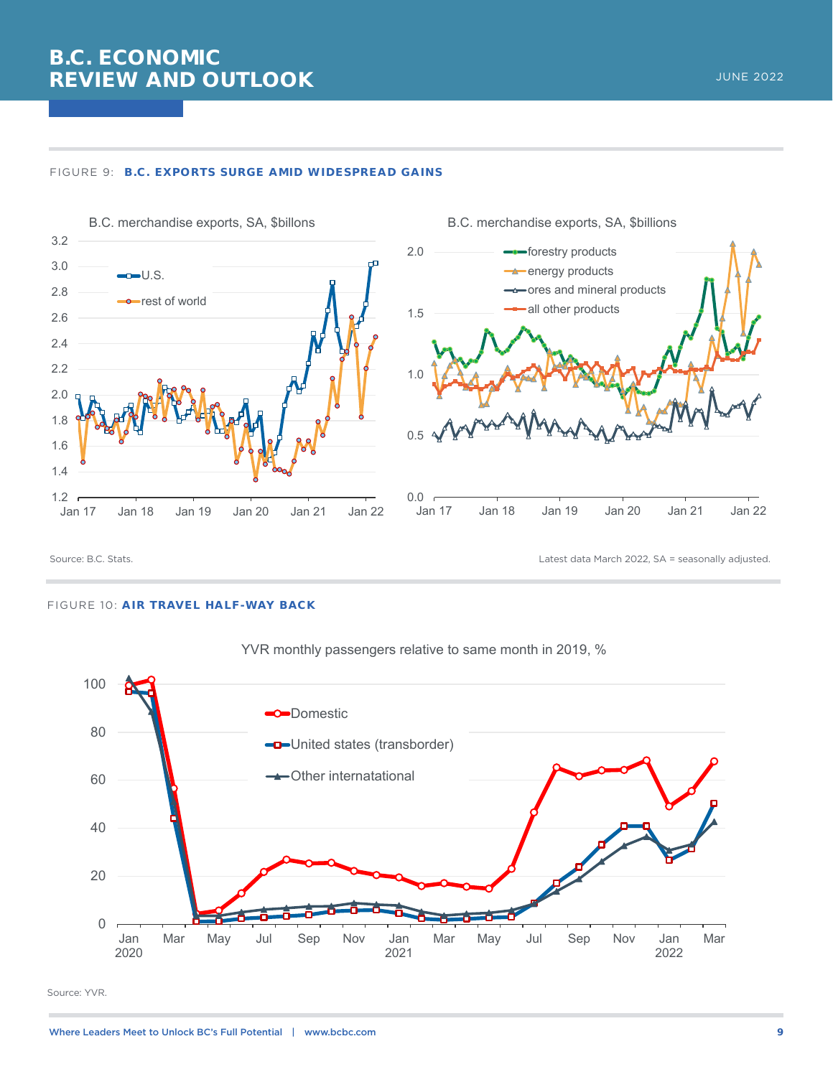





Source: B.C. Stats. Latest data March 2022, SA = seasonally adjusted.

#### FIGURE 10: **AIR TRAVEL HALF-WAY BACK**





Source: YVR.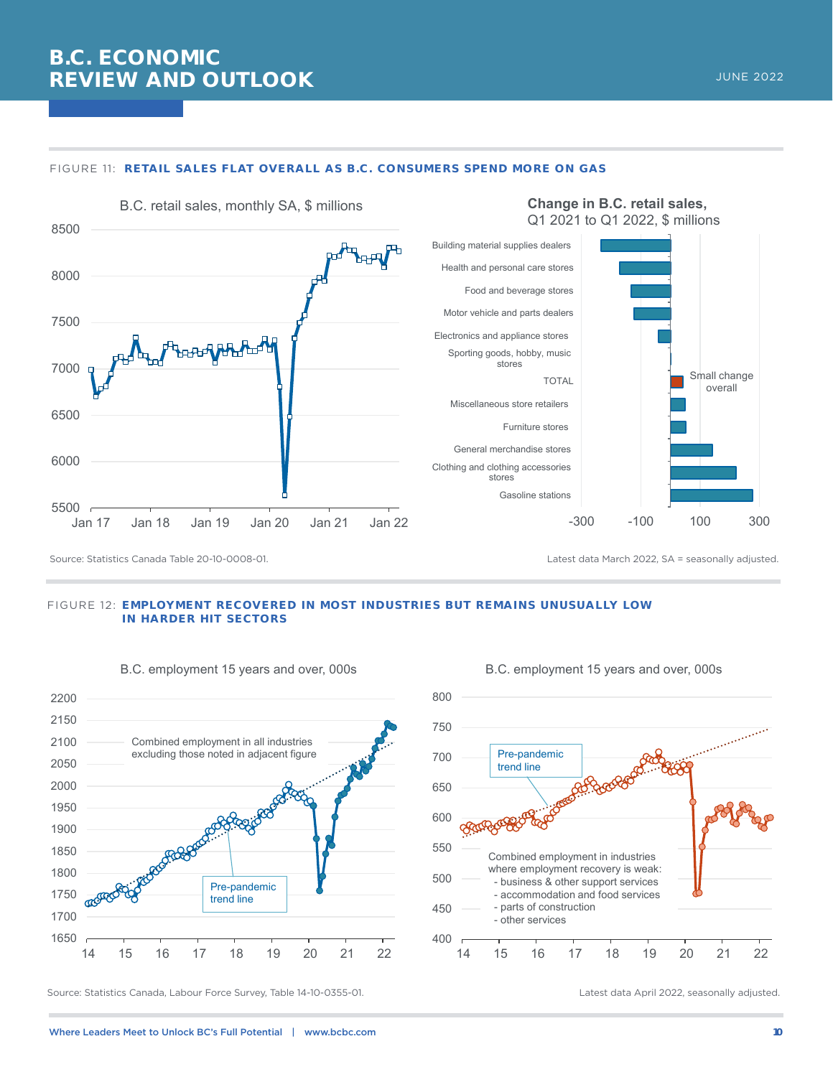

#### FIGURE 11: **RETAIL SALES FLAT OVERALL AS B.C. CONSUMERS SPEND MORE ON GAS**

Source: Statistics Canada Table 20-10-0008-01. Latest data March 2022, SA = seasonally adjusted.

#### FIGURE 12: **EMPLOYMENT RECOVERED IN MOST INDUSTRIES BUT REMAINS UNUSUALLY LOW IN HARDER HIT SECTORS**



#### B.C. employment 15 years and over, 000s



B.C. employment 15 years and over, 000s

Source: Statistics Canada, Labour Force Survey, Table 14-10-0355-01. Latest data April 2022, seasonally adjusted.